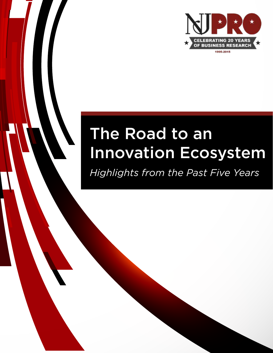

# The Road to an Innovation Ecosystem

*Highlights from the Past Five Years*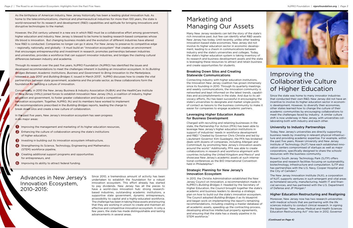rich innovative past, but few can identify what R&D assets New Jersey has today. Until recently, unlike other leading innovation-based state economies, New Jersey did not involve its higher education sector in economic development, leading to a chasm in communications between industry and the state's universities and colleges. Today, the state's higher education system is taking inventory of its research and business development assets and the state is leveraging these resources to attract and retain business and create opportunities for students.

Charged with recruiting and retaining businesses in the state, the Partnership For Action (PFA) has been able to leverage New Jersey's higher education institutions in support of industries' needs in workforce development and R&D.<sup>3</sup> Created by Governor Chris Christie and led by Lieutenant Governor Kim Guadagno, the PFA has brokered deals with dozens of companies, including Allergan and CommVault, by promoting New Jersey's innovation assets around the world.4 Additionally, PFA was able to create collaborations in research and workforce alignment with countries including the United Kingdom and Mexico<sup>5</sup> and showcase New Jersey's academic assets at such international conferences as the BIO International Convention held in Philadelphia.<sup>6</sup>

#### Breaking Down Silos and Creating Statewide Communications

Connecting industry with higher education institutions, the Innovation New Jersey coalition has grown immensely since its founding in 2010. Through its quarterly meetings and weekly communications, the innovation community is networked and kept informed on the latest trends, capabilities and accomplishments in the state. And due to its advocacy efforts, INJ has been successful in encouraging the state's universities to designate and market single points of contact as liaisons to the business community to make it easier for companies to engage academic partners.

In 2013, the Christie Administration established the New Jersey Council on Innovation, a recommendation made in NJPRO's *Building Bridges II*. Headed by the Secretary of Higher Education, the Council brought together the state's academic and business leaders to develop a strategic plan on how to build out the state's innovation ecosystem. The Council adopted *Building Bridges II* as its blueprint and began work on implementing the report's remaining recommendations, including creating a master database of all academic assets, speeding up the contracting process, developing attractive intellectual property agreements, and ensuring that the state has a steady pipeline in its STEM workforce.<sup>7</sup>



#### Leveraging Higher Education Assets for Business Development

Rowan's South Jersey Technology Park (SJTP) offers expertise and research facilities focusing on sustainability, biotechnology, infrastructure and computation. SJTP also has partnerships with the U.S. Navy, Cooper Hospital and the City of Camden.<sup>8</sup>

The New Jersey Innovation Institute (NJII), a corporation of NJIT, supports ventures in such emergent and vital areas as homeland security, manufacturing, health IT and financial services, and has partnered with the U.S. Department of Defense and JP Morgan.<sup>9</sup>

#### Strategic Planning for New Jersey's Innovation Ecosystem

Improving the Collaborative Culture of Higher Education

Since the state was home to many innovator industries that conducted their own R&D, New Jersey did not have an incentive to involve its higher education sector in economic development. However, to diversify their economies, other states learned how to change the culture of their academic communities by encouraging collaborations to meet the challenges faced by industry. A similar culture shift is now underway in New Jersey, with universities collaborating both with industry and each other.

### University to Industry Partnerships

Concurrently, in 2010 the New Jersey Business & Industry Association (NJBIA) and the HealthCare Institute of New Jersey (HINJ) joined forces to establish Innovation New Jersey (INJ), a coalition of industry, higher education and government, to foster greater collaboration and build a competitive innovation ecosystem. Together, NJPRO, INJ and its members have worked to implement the recommendations prescribed in the *Building Bridges* reports, leading the charge to break down silos and create a new culture of collaboration.

> Today, New Jersey's universities are directly supporting business needs by investing in relevant physical infrastructure and providing academic expertise. For example, within the past five years, Rowan University and New Jersey Institute of Technology (NJIT) have each established innovation centers compromised of startups as well as major corporations, specifically designed to share the schools' resources with the business community.

### Higher Education Restructuring and Realigning

Moreover, New Jersey now has two research universities with medical schools that are partnering with the life sciences industry to conduct clinical research. In signing the bipartisan "New Jersey Medical and Health Sciences Education Restructuring Act" into law in 2012, Governor

As the birthplace of American industry, New Jersey historically has been a leading global innovation hub. As home to the telecommunications, chemical and pharmaceutical industries for more than 100 years, the state is world-renowned for its research and development (R&D) capabilities and aptitude for bringing innovations and disruptive technologies to the market.

However, the 21st century ushered in a new era in which R&D must be a collaborative effort among government, higher education and industry. New Jersey is blessed to be home to leading research-based companies whose life blood is innovation. But changing business models and the evolution of different industries have altered how R&D is conducted. Companies no longer can go it alone. For New Jersey to preserve its competitive edge – regionally, nationally, and globally – it must build an "innovation ecosystem" that creates an environment that encourages entrepreneurship and investment in research, promotes partnerships between industries and universities, provides a workforce that can support innovator industries, and bridges the clashing cultural differences between industry and academia.

Through its research over the past five years, NJPRO Foundation (NJPRO) has identified the issues and developed recommendations to meet the challenges inherent in building an innovation ecosystem. In its *Building Bridges Between Academic Institutions, Business and Government to Bring Innovation to the Marketplace*, released in July 2010<sup>1</sup> and *Building Bridges II*, issued in March 2013<sup>2</sup>, NJPRO discusses how to create the vital partnerships between state government, academia and the private sector, as these collaborations form the foundation for building a culture of innovation.

In the past five years, New Jersey's innovation ecosystem has seen progress in six major areas:

- **I** Improving the management and marketing of its higher education resources,
- **2** Enhancing the culture of collaboration among the state's institutions of higher education,
- Investing in building out its innovation ecosystem infrastructure,
- 4 Strengthening its Science, Technology, Engineering and Mathematics (STEM) workforce pipeline,
- **6** Creating additional support programs and opportunities for entrepreneurs, and
- **6** Improving its ability to attract federal funding.

Since 2010, a tremendous amount of activity has been undertaken to establish the foundation for a robust innovation ecosystem. This effort already has started to pay dividends. New Jersey has all the pieces to have a world-class innovation hub: strong researchbased industries, outstanding academic institutions, a supportive state government, dynamic entrepreneurs, accessibility to capital and a highly-educated workforce. The challenge has been in taking these assets and ensuring that they are working in unison to create and maintain an effective and competitive innovation ecosystem. In only a few years, the state has made distinguishable and lasting advancements in several areas.

# Marketing and Managing Our Assets<br>Many New Jersey residents can tell the story of the state's

Advances in New Jersey's Innovation Ecosystem, 2010-2015:

*{Continued on Page 4}*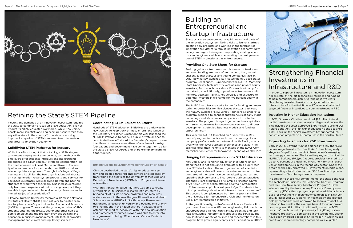# Building an Entrepreneurial and Startup Infrastructure

Seeking guidance from seasoned business professionals and seed funding are more often than not, the greatest challenges that startups and young companies face. In 2012, New Jersey launched its first technology accelerator program, TechLaunch. Supported by the NJEDA, Montclair State University, tech industry veterans and private equity investors, TechLaunch provides a 16-week boot camp for tech startups. Additionally, it provides entrepreneurs with mentors, business training, key services and exposure to potential investors in exchange for five percent equity in the company.<sup>22</sup>

Startups and an entrepreneurial spirit are critical parts of the innovation ecosystem. Taking risks to launch startups, creating new products and working in the forefront of innovation are vital for a robust innovation economy. New Jersey has begun training and supporting existing scientists and engineers while also educating the next generation of STEM professionals as entrepreneurs.

## Providing One Stop Shops for Startups

New Jersey and its higher education institutions understand that it is not enough to graduate with a purely technical STEM education. The next generation of scientists and engineers also will have to be entrepreneurial. Institutions around the state have begun adopting courses and updating their curricula to incorporate business practices into their STEM programs. For example, Princeton University's Keller Center began offering a formal "Introduction to Entrepreneurship" class last year to "jolt" students into thinking creatively about what it takes to launch a venture.<sup>25</sup> This course is complemented by informal programs like the University's Entrepreneurship Club and the Princeton Social Entrepreneurship Initiative.<sup>26</sup>

The NJEDA also has created a forum for funding and mentoring opportunities for life sciences startups. Last year, the NJEDA launched "New Jersey Founders & Funders," a program designed to connect entrepreneurs at early-stage technology and life sciences companies with potential investors. The program brings together venture capitalists with select companies for one-on-one sessions to discuss development strategies, business models and funding opportunities.23

This year, the NJEDA launched an "Executives-in-Residence" program to mentor and coach promising biotech company professionals. In partnership with BioNJ, executives with high level business experience and skills in life sciences offer their insights to mentees at the EDA's Commercialization Center for Innovative Technologies (CCIT).24

### Bringing Entrepreneurship into STEM Education

Likewise, Rutgers University received a \$2 million National Institutes of Health (NIH) grant last year to create the Interdisciplinary Job Opportunities for Biomedical Scientists (iJOBS) program. To support the growing number of PhD students entering the private sector and other non-academic employment, the program provides training and education in business management, intellectual property management and clinical and regulatory sciences.<sup>20</sup>

At Rutgers University, its Professional Science Master's Program combines the scientific and engineering fields with the entrepreneurial skills that can translate scientific and technical knowledge into profitable products and services. The popularity and variety of courses and concentrations in this program have grown significantly since its creation in 2010.27



*Page 4 |* The Road to an Innovation Ecosystem: Highlights from the Past Five Years NJPRO Foundation *|* **njprofoundation.org** *| Page 5*



#### **[IMPROVING THE COLLABORATIVE CONTINUED FROM PAGE 3]**

Christie overhauled the state's higher education system and created three regional centers of excellence by transferring the assets of the University of Medicine and Dentistry of New Jersey (UMDNJ) to Rutgers and Rowan universities.

With this transfer of assets. Rutgers was able to create a world-class life sciences research infrastructure by bringing all of its life science programs and resources under one roof in the new Rutgers Biomedical and Health Sciences center (RBHS). In South Jersey, Rowan was designated a research university and became one of only two institutions in the nation with both allopathic and osteopathic medical schools.10 With this new designation and biomedical resources, Rowan was able to enter into an agreement to bring MD Anderson Cancer Center to New Jersey.<sup>11</sup>

In addition to these new commitments, the state continues the Technology Business Tax Certificate Transfer Program15 and the Grow New Jersey Assistance Program.<sup>16</sup> Both administered by the New Jersey Economic Development Authority (EDA), these programs provide additional incentives for investment in technology companies in New Jersey. In Fiscal Year 2015 alone, 44 technology and biotechnology companies were approved to share a total of \$54 million in tax credits; the average benefit for an approved company was \$1.2 million. Additionally, since the 2013 launch of the Economic Opportunity Act (EOA) business incentive program, 21 companies in the technology sector have been awarded a total of \$448 million in Grow NJ tax credits and more technology companies are eligible.<sup>17</sup>

Meeting the demands of an innovation ecosystem requires the state to continue to focus on STEM education, even as it touts its highly educated workforce. While New Jersey boasts more scientists and engineers per square mile than any other state in the country<sup>18</sup>, the state is working to improve its pipeline of STEM-prepared talent to sustain and grow its innovation economy.

# Solidifying STEM Pathways for Industry

While it is often thought that obtaining a STEM degree guarantees employment after college, partnerships with employers offer students introductions and firsthand experience in a STEM career. A strategic collaboration like the one between Lockheed Martin and Rowan University offers a template for partnerships on R&D as well as educating future engineers. Through its College of Engineering and its clinics, the two organizations collaborate on next generation radar system products and services for Lockheed customers, while allowing Rowan engineering students to work while they learn. Qualified students not only learn from experienced industry engineers, but they are able to graduate with federal security clearance and an immediate job after graduation.19

### Coordinating STEM Education Efforts

Hundreds of STEM education initiatives are underway in New Jersey. To keep track of these efforts, the Office of the Secretary of Higher Education this year launched the NJ STEM Pathways Network, a public-private alliance to coordinate these efforts. At the Secretary's request, more than three dozen representatives of academia, industry, foundations and government have come together to align the state's STEM resources and share exemplary learning opportunities.21

# Refining the State's STEM Pipeline

# Strengthening Financial Investments in Infrastructure and R&D

In order to support innovators, an innovation ecosystem needs state-of-the-art technology, facilities and funding to help companies flourish. Over the past five years, New Jersey invested heavily in its higher education infrastructure for the first time in 27 years and adopted targeted financial incentives to spur investment in R&D.

### Investing in Higher Education Institutions

In 2012, Governor Christie committed \$1.3 billion to fund capital investments at New Jersey's colleges and universities. This included the voter-approved \$750 million "Building Our Future Bond Act," the first higher education bond act since 1988.12 Thus far, the capital investment has supported 176 construction projects on 46 campuses in the Garden State.13

#### Expanding Incentives for R&D Investments

Early in 2013, Governor Christie signed into law the "New Jersey Angel Investor Tax Credit Act," stimulating early stage, or "angel" investments in New Jersey's emerging technology companies. The incentive program, inspired by NJPRO's *Building Bridges II* report, provides tax credits of up to 10 percent of a qualified investment for small startups or entrepreneurs in the technology sector. Under the program, the EDA approved 181 investments in 2014 alone, representing a total of more than \$60.2 million of private investment in New Jersey-based companies.14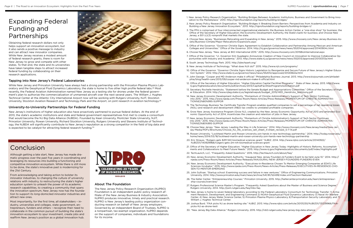# Expanding Federal Funding and Partnerships

Obtaining federal research dollars not only helps support an innovation ecosystem, but it also sends a positive message to industry and can attract new innovator companies. While New Jersey receives a modest amount of federal research grants, there is room for New Jersey to grow and compete with other states. To that end, the state and its universities have taken tangible steps to attract increased federal funding by collaborating on their research applications.



### Tapping into New Jersey's Federal Laboratories

New Jersey's institutions of higher education also have proactively partnered to pursue federal dollars. At the end of 2013, the state's academic institutions and state and federal government representatives first met to create a consortium that would become the NJ Big Data Alliance (NJBDA). Founded by Kean University, Montclair State University, NJIT, Princeton University, Rowan University, Richard Stockton University, Rutgers University and Stevens Institute of Technology, the NJBDA will significantly contribute to New Jersey's reputation as a strong competitor in the field of big data and is expected to be catalyst for attracting federal research funding.<sup>30</sup>

While New Jersey and Princeton University have always had a strong partnership with the Princeton Plasma Physics Laboratory and the Geophysical Fluid Dynamics Laboratory, the state is home to five other high profile federal labs.<sup>28</sup> Most recently, the Federal Aviation Administration named New Jersey as a testing site for drones under the federal government's plan to authorize the commercialization of unmanned aircraft over the next several years. The William J. Hughes Technical Center at the Atlantic City International Airport now will be working with Rutgers University, NJIT, Stockton University, Stockton Aviation Research and Technology Park and the Airport, on joint research in aviation technology.29

#### University-to-University Partnerships for Federal Funding

# Conclusion

Although getting a late start, New Jersey has made dramatic progress over the past five years in coordinating and leveraging its resources into building a functioning and competitive innovation ecosystem. While there is still more to be done, the state's innovative past is modernizing for the 21st Century.

From acknowledging and taking action to bolster its innovator industries, to changing the culture of university relations with industry, to restructuring the state's higher education system to unleash the power of its academic research capabilities, to creating a community that spans the innovation spectrum, New Jersey now has the foundation to support its long-domiciled innovator industries and attract new ones.

Most importantly, for the first time, all stakeholders – industry, universities and colleges, state government, entrepreneurs, funders and others – recognize their need to collaborate in the common pursuit of building the state's innovation ecosystem to spur investment, create jobs and reaffirm New Jersey's position as a global innovation hub.



#### About The Foundation

The New Jersey Policy Research Organization (NJPRO) Foundation is an independent public policy research affiliate of the New Jersey Business & Industry Association. NJPRO produces innovative, timely and practical research. NJPRO is New Jersey's leading policy organization conducting research on behalf of New Jersey employers. Governed by an independent Board of Trustees, NJPRO is a nonpartisan, tax-exempt organization. NJPRO depends on the support of companies, individuals and foundations for its income.

- 1. New Jersey Policy Research Organization. "Building Bridges Between Academic Institutions, Business and Government to Bring Innovation to the Marketplace." 2010. http://njprofoundation.org/reports/building-bridges/
- 2. New Jersey Policy Research Organization. "Building Bridges II: Breaking Down Barriers: Perspectives from Academia and Industry on Building a New Jersey Innovation Ecosystem." 2013. http://njprofoundation.org/reports/building-bridges-ii/
- 3. The PFA is comprised of four interconnected organizational elements: the Business Action Center, a "one-stop shop" for business; the Office of the Secretary of Higher Education; the Economic Development Authority, the State's bank for business; and Choose New Jersey, a 501 (c)(3) nonprofit that markets the state.
- 4. Choose New Jersey. "Businesses Relocating and Expanding in New Jersey." 2015. http://www.choosenj.com/New-Jersey-Business-Assets/Business-Climate/Major-Relocations-Expansions.aspx
- 5. Office of the Governor. "Governor Christie Signs Agreement to Establish Collaboration and Partnership Among Mexican and American Colleges and Universities." Office of the Governor. 2014. http://nj.gov/governor/news/news/552014/approved/20140904c.html
- 6. Choose New Jersey. "New Jersey at BIO International 2015." 2015. http://www.choosenj.com/2015BioInternational.aspx
- 7. Office of the Governor. "Lt. Governor Kim Guadagno Announces Creation of New Council on Innovation to Improve Collaborative Opportunities with Industry and Academia." 2013. http://www.state.nj.us/governor/news/news/552013/approved/20130313a.html
- 8. South Jersey Technology Park. 2013. http://sjtechpark.org/
- 9. New Jersey Institute of Technology. "What does NJII do?" 2015. http://www.njii.com/programs/
- 10. Office of the Governor. "Governor Christie Signs Historic Legislation to Reorganize and Secure Future of New Jersey's Higher Education System." 2012. http://www.state.nj.us/governor/news/news/552012/approved/20120822a.html
- 11. John George. "Cooper and MD Anderson make it official." Philadelphia Business Journal. 2013. http://www.bizjournals.com/philadelphia/blog/health-care/2013/09/cooper-md-anderson-make-it-official.html
- 12. Office of the Secretary of Higher Education. "Higher Education Capital Facilities Programs." State of New Jersey. 2013. http://www. nj.gov/highereducation/documents/pdf/archives/2013/CapitalFacilitiesProgramsSolicitation.pdf
- 13. Secretary Rochelle Hendricks. "Statement before the Senate Budget and Appropriations Committee." Office of the Secretary of Higher Education. 2014. http://www.njleg.state.nj.us/legislativepub/budget\_2015/HED\_Hendricks\_testimony.pdf
- 14. New Jersey Economic Development Authority. "Momentum of Christie Administration's Support of Tech Sector Continues into 2015." 2015. http://www.njeda.com/Press-Room/News-Articles/Press-Releases/MOMENTUM-OF-CHRISTIE-ADMINISTRA-TION%E2%80%99S-SUPPOR
- 15. The Technology Business Tax Certificate Transfer Program enables qualified companies to sell a percentage of net operating losses (NOL) and research and development (R&D) tax credits to unrelated profitable companies.
- 16. Grow New Jersey Assistance Program (Grow NJ), created by the New Jersey Economic Opportunity Act of 2013 and amended Economic Opportunity Act of 2014, incentivizes the creation and retention of jobs in New Jersey.
- 17. New Jersey Economic Development Authority. "Momentum of Christie Administration's Support of Tech Sector Continues into 2015." 2015. http://www.njeda.com/Press-Room/News-Articles/Press-Releases/MOMENTUM-OF-CHRISTIE-ADMINISTRA-TION%E2%80%99S-SUPPOR
- 18. Choose New Jersey. "New Jersey: Leading the Way in Life Sciences." 2014. http://www.choosenj.com/NewJersey/media/New-Jersey-Media/PDFs/Brochures/Choose\_NJ\_life\_sciences\_sell\_sheet\_4-sheet\_revised\_5-7-14.pdf
- 19. Rowan University. "Lockheed Martin and Rowan University join hands in new technology partnership." 2014. http://today.rowan.edu/ home/news/2014/03/18/lockheed-martin-and-rowan-university-join-hands-new-technology-partnership
- 20. Eric Strauss. "Rutgers gets \$2M NIH biomedical sciences grant." NJBIZ. 2014. http://www.njbiz.com/article/20140922/ NJBIZ01/140929968/rutgers-gets-2m-nih-biomedical-sciences-grant
- 21. Office of the Secretary of Higher Education. "Higher Education in New Jersey Today: Highlights of Historic Reforms, Accomplishments and Collaborations to Meet Future Needs." 2015. http://www.nj.gov/highereducation/documents/pdf/index/Highlights.pdf
- 22. TechLaunch, LLC. "Frequently Asked Questions." 2015. http://techlaunch.com/about/faq/
- 23. New Jersey Economic Development Authority. "Inaugural New Jersey Founders & Funders Event to be held June 10." 2014. http:// njeda.com/Press-Room/News-Articles/Press-Releases/INAUGURAL-NEW-JERSEY-FOUNDERS-FUNDERS-EVEN
- 24. New Jersey Economic Development Authority. "Executives-in-Residence Chosen To Mentor Emerging Companies at EDA'S Life Sciences Incubator." 2015. http://www.njeda.com/Press-Room/News-Articles/Press-Releases/EXECUTIVES-IN-RESIDENCE-CHO-SEN-TO-MENTOR-EMERGING
- 25. John Sullivan. "Startup school: Examining success and failure in new ventures." Office of Engineering Communications. Princeton University. 2014. http://www.princeton.edu/main/news/archive/S41/81/52A99/index.xml?section=featured
- 26. The Keller Center. "Entrepreneurship Courses." Princeton University. 2015. http://kellercenter.princeton.edu/learn/entrepreneurship-courses/overview/
- 27. Rutgers Professional Science Master's Program. "Frequently Asked Questions about the Master of Business and Science Degree." Rutgers University. 2014. http://psm.rutgers.edu/faq/mbs-faq
- 28. New Jersey is home to seven federal laboratory according to the Federal Laboratory Consortium for Technology Transfer: 1) Armament Research, Development, and Engineering Command 2) NOAA-Geophysical Fluid Dynamics Laboratory 3) Naval Air Warfare Center, 4) New Jersey Water Science Center, 5) Princeton Plasma Physics Laboratory, 6)Transportation Security Laboratory, and 7) William J. Hughes Technical Center.
- 29. Joshua Burd. "FAA picks NJ as drone testing site." NJBIZ. 2013. http://www.njbiz.com/article/20131230/NJBIZ01/131239966/FAApicks-NJ-as-drone-testi
- 30. "New Jersey Big Data Alliance." Rutgers University. 2015. http://rdi2.rutgers.edu/new-jersey-big-data-alliance